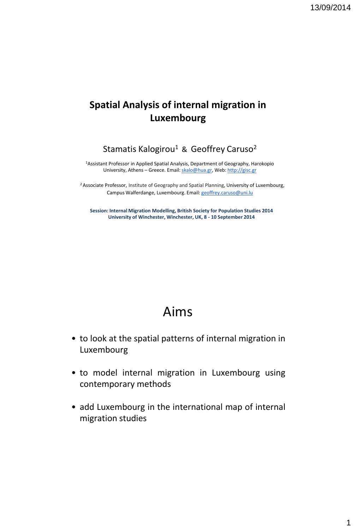#### **Spatial Analysis of internal migration in Luxembourg**

Stamatis Kalogirou<sup>1</sup> & Geoffrey Caruso<sup>2</sup>

<sup>1</sup>Assistant Professor in Applied Spatial Analysis, Department of Geography, Harokopio University, Athens – Greece. Email: [skalo@hua.gr,](mailto:skalo@hua.gr) Web: [http://gisc.gr](http://gisc.gr/)

<sup>2</sup> Associate Professor, Institute of Geography and Spatial Planning, University of Luxembourg, Campus Walferdange, Luxembourg. Email: [geoffrey.caruso@uni.lu](mailto:geoffrey.caruso@uni.lu)

**Session: Internal Migration Modelling, British Society for Population Studies 2014 University of Winchester, Winchester, UK, 8 - 10 September 2014**

#### Aims

- to look at the spatial patterns of internal migration in Luxembourg
- to model internal migration in Luxembourg using contemporary methods
- add Luxembourg in the international map of internal migration studies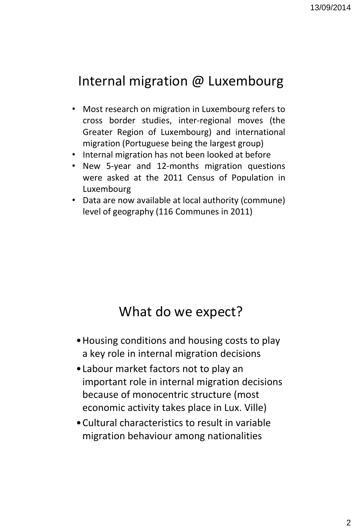## Internal migration @ Luxembourg

- Most research on migration in Luxembourg refers to cross border studies, inter-regional moves (the Greater Region of Luxembourg) and international migration (Portuguese being the largest group)
- Internal migration has not been looked at before
- New 5-year and 12-months migration questions were asked at the 2011 Census of Population in Luxembourg
- Data are now available at local authority (commune) level of geography (116 Communes in 2011)

#### What do we expect?

- •Housing conditions and housing costs to play a key role in internal migration decisions
- •Labour market factors not to play an important role in internal migration decisions because of monocentric structure (most economic activity takes place in Lux. Ville)
- •Cultural characteristics to result in variable migration behaviour among nationalities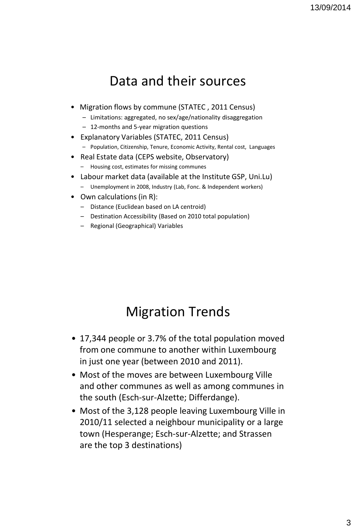### Data and their sources

- Migration flows by commune (STATEC , 2011 Census)
	- Limitations: aggregated, no sex/age/nationality disaggregation
	- 12-months and 5-year migration questions
- Explanatory Variables (STATEC, 2011 Census)
	- Population, Citizenship, Tenure, Economic Activity, Rental cost, Languages
- Real Estate data (CEPS website, Observatory)
	- Housing cost, estimates for missing communes
- Labour market data (available at the Institute GSP, Uni.Lu) – Unemployment in 2008, Industry (Lab, Fonc. & Independent workers)
- Own calculations (in R):
	- Distance (Euclidean based on LA centroid)
	- Destination Accessibility (Based on 2010 total population)
	- Regional (Geographical) Variables

## Migration Trends

- 17,344 people or 3.7% of the total population moved from one commune to another within Luxembourg in just one year (between 2010 and 2011).
- Most of the moves are between Luxembourg Ville and other communes as well as among communes in the south (Esch-sur-Alzette; Differdange).
- Most of the 3,128 people leaving Luxembourg Ville in 2010/11 selected a neighbour municipality or a large town (Hesperange; Esch-sur-Alzette; and Strassen are the top 3 destinations)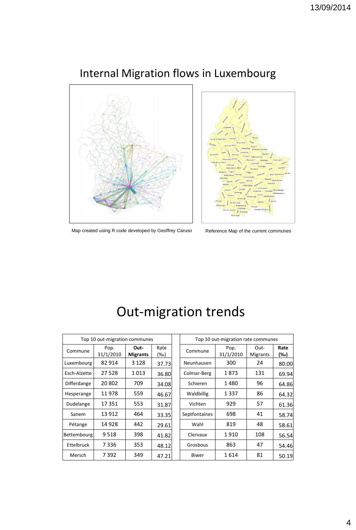

Internal Migration flows in Luxembourg



Map created using R code developed by Geoffrey Caruso Reference Map of the current communes

| Top 10 out-migration communes |                   |                         | Top 10 out-migration rate communes |               |                   |                  |             |
|-------------------------------|-------------------|-------------------------|------------------------------------|---------------|-------------------|------------------|-------------|
| Commune                       | Pop.<br>31/1/2010 | Out-<br><b>Migrants</b> | Rate<br>$(\%circ)$                 | Commune       | Pop.<br>31/1/2010 | Out-<br>Migrants | Rate<br>(‰) |
| Luxembourg                    | 82 914            | 3 1 2 8                 | 37.73                              | Neunhausen    | 300               | 24               | 80.00       |
| Esch-Alzette                  | 27 5 28           | 1013                    | 36.80                              | Colmar-Berg   | 1873              | 131              | 69.94       |
| Differdange                   | 20 802            | 709                     | 34.08                              | Schieren      | 1480              | 96               | 64.86       |
| Hesperange                    | 11978             | 559                     | 46.67                              | Waldbillig    | 1337              | 86               | 64.32       |
| Dudelange                     | 17351             | 553                     | 31.87                              | Vichten       | 929               | 57               | 61.36       |
| Sanem                         | 13 9 12           | 464                     | 33.35                              | Septfontaines | 698               | 41               | 58.74       |
| Pétange                       | 14 928            | 442                     | 29.61                              | Wahl          | 819               | 48               | 58.61       |
| Bettembourg                   | 9518              | 398                     | 41.82                              | Clervaux      | 1910              | 108              | 56.54       |
| Ettelbruck                    | 7336              | 353                     | 48.12                              | Grosbous      | 863               | 47               | 54.46       |
| Mersch                        | 7 3 9 2           | 349                     | 47.21                              | Biwer         | 1614              | 81               | 50.19       |

## Out-migration trends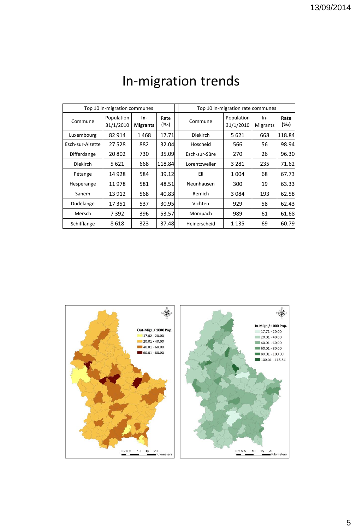|                  | Top 10 in-migration communes |                        |                    | Top 10 in-migration rate communes |                         |                        |             |
|------------------|------------------------------|------------------------|--------------------|-----------------------------------|-------------------------|------------------------|-------------|
| Commune          | Population<br>31/1/2010      | In-<br><b>Migrants</b> | Rate<br>$(\%circ)$ | Commune                           | Population<br>31/1/2010 | In-<br><b>Migrants</b> | Rate<br>(‰) |
| Luxembourg       | 82 914                       | 1468                   | 17.71              | <b>Diekirch</b>                   | 5621                    | 668                    | 118.84      |
| Esch-sur-Alzette | 27 5 28                      | 882                    | 32.04              | Hoscheid                          | 566                     | 56                     | 98.94       |
| Differdange      | 20 802                       | 730                    | 35.09              | Esch-sur-Sûre                     | 270                     | 26                     | 96.30       |
| <b>Diekirch</b>  | 5 621                        | 668                    | 118.84             | Lorentzweiler                     | 3 2 8 1                 | 235                    | 71.62       |
| Pétange          | 14 928                       | 584                    | 39.12              | EII                               | 1004                    | 68                     | 67.73       |
| Hesperange       | 11 978                       | 581                    | 48.51              | Neunhausen                        | 300                     | 19                     | 63.33       |
| Sanem            | 13 912                       | 568                    | 40.83              | Remich                            | 3084                    | 193                    | 62.58       |
| Dudelange        | 17351                        | 537                    | 30.95              | Vichten                           | 929                     | 58                     | 62.43       |
| Mersch           | 7392                         | 396                    | 53.57              | Mompach                           | 989                     | 61                     | 61.68       |
| Schifflange      | 8618                         | 323                    | 37.48              | Heinerscheid                      | 1 1 3 5                 | 69                     | 60.79       |

# In-migration trends

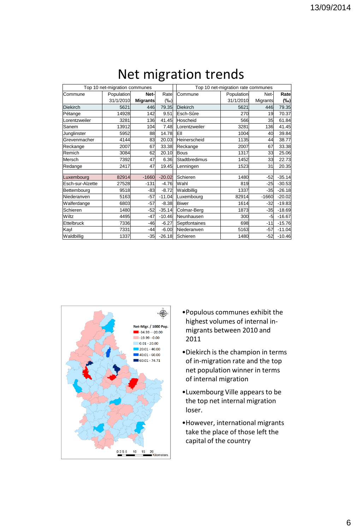| Top 10 net-migration communes |            |                 |          | Top 10 net-migration rate communes |            |                 |          |  |
|-------------------------------|------------|-----------------|----------|------------------------------------|------------|-----------------|----------|--|
| Commune                       | Population | Net-            | Rate     | Commune                            | Population | Net-            | Rate     |  |
|                               | 31/1/2010  | <b>Migrants</b> | $(\%o)$  |                                    | 31/1/2010  | <b>Migrants</b> | (‰)      |  |
| <b>Diekirch</b>               | 5621       | 446             | 79.35    | Diekirch                           | 5621       | 446             | 79.35    |  |
| Pétange                       | 14928      | 142             | 9.51     | Esch-Sûre                          | 270        | 19              | 70.37    |  |
| Lorentzweiler                 | 3281       | 136             | 41.45    | Hoscheid                           | 566        | 35              | 61.84    |  |
| Sanem                         | 13912      | 104             | 7.48     | Lorentzweiler                      | 3281       | 136             | 41.45    |  |
| Junglinster                   | 5952       | 88              | 14.78    | EII                                | 1004       | 40              | 39.84    |  |
| Grevenmacher                  | 4144       | 83              | 20.03    | Heinerscheid                       | 1135       | 44              | 38.77    |  |
| Reckange                      | 2007       | 67              | 33.38    | Reckange                           | 2007       | 67              | 33.38    |  |
| Remich                        | 3084       | 62              | 20.10    | Bous                               | 1317       | 33              | 25.06    |  |
| Mersch                        | 7392       | 47              | 6.36     | <b>Stadtbredimus</b>               | 1452       | 33 <sub>1</sub> | 22.73    |  |
| Redange                       | 2417       | 47              | 19.45    | Lenningen                          | 1523       | 31              | 20.35    |  |
|                               |            |                 |          |                                    |            |                 |          |  |
| Luxembourg                    | 82914      | $-1660$         | $-20.02$ | Schieren                           | 1480       | $-52$           | $-35.14$ |  |
| Esch-sur-Alzette              | 27528      | $-131$          | $-4.76$  | Wahl                               | 819        | $-25$           | $-30.53$ |  |
| Bettembourg                   | 9518       | -83             | $-8.72$  | Waldbillig                         | 1337       | $-35$           | $-26.18$ |  |
| Niederanven                   | 5163       | $-57$           | $-11.04$ | Luxembourg                         | 82914      | $-1660$         | $-20.02$ |  |
| Walferdange                   | 6803       | $-57$           | $-8.38$  | <b>Biwer</b>                       | 1614       | $-32$           | $-19.83$ |  |
| Schieren                      | 1480       | $-52$           | $-35.14$ | Colmar-Berg                        | 1873       | $-35$           | $-18.69$ |  |
| Wiltz                         | 4495       | $-47$           | $-10.46$ | Neunhausen                         | 300        | -51             | $-16.67$ |  |
| Ettelbruck                    | 7336       | $-46$           | $-6.27$  | Septfontaines                      | 698        | $-11$           | $-15.76$ |  |
| Kayl                          | 7331       | $-44$           | $-6.00$  | Niederanven                        | 5163       | $-57$           | $-11.04$ |  |
| Waldbillig                    | 1337       | $-35$           | $-26.18$ | Schieren                           | 1480       | $-52$           | $-10.46$ |  |

### Net migration trends



- •Populous communes exhibit the highest volumes of internal inmigrants between 2010 and 2011
- •Diekirch is the champion in terms of in-migration rate and the top net population winner in terms of internal migration
- •Luxembourg Ville appears to be the top net internal migration loser.
- •However, international migrants take the place of those left the capital of the country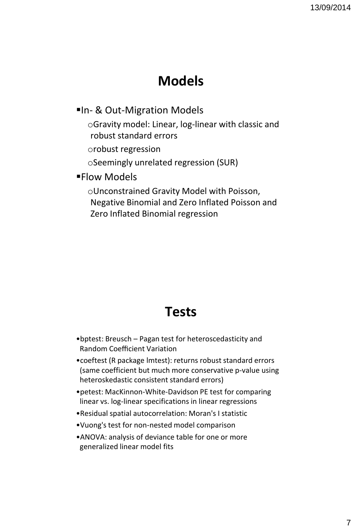## **Models**

#### **In- & Out-Migration Models**

oGravity model: Linear, log-linear with classic and robust standard errors

orobust regression

oSeemingly unrelated regression (SUR)

#### **Flow Models**

oUnconstrained Gravity Model with Poisson, Negative Binomial and Zero Inflated Poisson and Zero Inflated Binomial regression

#### **Tests**

- •bptest: Breusch Pagan test for heteroscedasticity and Random Coefficient Variation
- •coeftest (R package lmtest): returns robust standard errors (same coefficient but much more conservative p-value using heteroskedastic consistent standard errors)
- •petest: MacKinnon-White-Davidson PE test for comparing linear vs. log-linear specifications in linear regressions
- •Residual spatial autocorrelation: Moran's I statistic
- •Vuong's test for non-nested model comparison
- •ANOVA: analysis of deviance table for one or more generalized linear model fits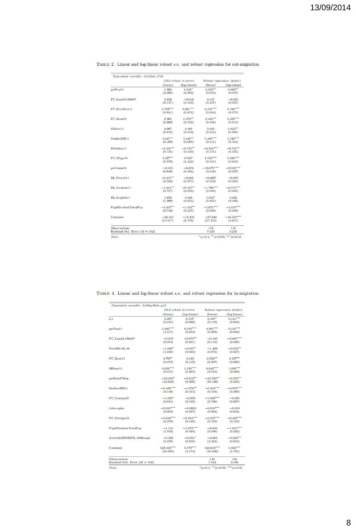| Dependent variable: OutRate_P10   |                                                  |                      |                                       |              |
|-----------------------------------|--------------------------------------------------|----------------------|---------------------------------------|--------------|
|                                   | OLS robust st.errors<br>(linear)<br>(log-linear) |                      | Robust regression (huber)<br>(linear) |              |
|                                   |                                                  |                      |                                       | (log-linear) |
| gwPop11                           | 1.302                                            | $0.101$ <sup>*</sup> | 2.102                                 | $0.086***$   |
|                                   | (2.304)                                          | (0.060)              | (0.934)                               | (0.037)      |
| PC_LandAvBld07                    | 0.239                                            | $-0.014$             | 0.127                                 | $-0.025$     |
|                                   | (0.147)                                          | (0.113)              | (0.107)                               | (0.031)      |
| PC FreeRent11                     | $2.783***$                                       | $0.201***$           | $2.337***$                            | $0.193***$   |
|                                   | (0.641)                                          | (0.074)              | (0.694)                               | (0.073)      |
| PC_Rent11                         | 0.365                                            | $0.378***$           | $0.438***$                            | $0.428***$   |
|                                   | (0.263)                                          | (0.152)              | (0.198)                               | (0.114)      |
| MRent11                           | 0.007                                            | 0.486                | 0.010                                 | $0.623**$    |
|                                   | (0.015)                                          | (0.310)              | (0.012)                               | (0.265)      |
| SurfaceHH11                       | $0.347***$                                       | $1.446***$           | $0.368***$                            | $1.736***$   |
|                                   | (0.169)                                          | (0.688)              | (0.111)                               | (0.454)      |
| RSurface11                        | $-0.341$ **                                      | $-0.735***$          | $-0.318***$                           | $-0.741$ **  |
|                                   | (0.135)                                          | (0.330)              | (0.121)                               | (0.335)      |
| PC_Wage10                         | $1.227***$                                       | $2.580*$             | $1.138***$                            | $2.836***$   |
|                                   | (0.570)                                          | (1.423)              | (0.355)                               | (0.843)      |
| gwUnem10                          | $-8,333$                                         | $-0.254$             | $-10.676***$                          | $-0.326***$  |
|                                   | (6.848)                                          | (0.184)              | (3.118)                               | (0.107)      |
| BL_French11                       | $-0.455***$                                      | $-0.081$             | $-0.409*$                             | $-0.087$     |
|                                   | (0.223)                                          | (0.077)              | (0.219)                               | (0.063)      |
| BL.Deutsch11                      | $-1.861$ **                                      | $-0.187**$           | $-1.796***$                           | $-0.172***$  |
|                                   | (0.757)                                          | (0.076)              | (0.696)                               | (0.062)      |
| BL_English11                      | 1.856                                            | 0.028                | $1.612*$                              | 0.002        |
|                                   | (1.300)                                          | (0.054)              | (0.865)                               | (0.030)      |
| PupilStudentTotalPop              | $-1.837$ **                                      | $-1.103**$           | $-1.671***$                           | $-1.019***$  |
|                                   | (0.740)                                          | (0.437)              | (0.566)                               | (0.358)      |
| Constant                          | $-56.457$                                        | $-12.470$            | $-57.644$                             | $-16.329***$ |
|                                   | (53.517)                                         | (8.578)              | (37.123)                              | (4.651)      |
| <b>Observations</b>               |                                                  |                      | 116                                   | 116          |
| Residual Std. Error (df = $102$ ) |                                                  |                      | 7.420                                 | 0.210        |

TABLE 2. Linear and log-linear robust s.e. and robust regression for out-migration

| Dependent variable: InMigrRate_p10 |                        |                      |                                   |                |  |
|------------------------------------|------------------------|----------------------|-----------------------------------|----------------|--|
|                                    |                        | OLS robust st.errors | Robust regression (huber)         |                |  |
|                                    | (linear)               | (log-linear)         | (linear)                          | $(log-linear)$ |  |
| d i                                | 0.297                  | $0.153*$             | $0.197*$                          | $0.141***$     |  |
|                                    | (0.181)                | (0.086)              | (0.119)                           | (0.033)        |  |
| gwPop11                            | $5.483***$             | $0.158***$           | $4.991***$                        | $0.145***$     |  |
|                                    | (1.517)                | (0.053)              | (0.869)                           | (0.042)        |  |
| PC LandAvBld07                     | $-0.278$               | $-0.073**$           | $-0.105$                          | $-0.067***$    |  |
|                                    | (0.254)                | (0.031)              | (0.110)                           | (0.026)        |  |
| NewBld_06_10                       | $-1.820*$              | $-0.057*$            | $-1.408$                          | $-0.052**$     |  |
|                                    | (1.040)                | (0.033)              | (0.874)                           | (0.027)        |  |
| PC_Rent11                          | $0.797*$               | 0.183                | $0.504***$                        | $0.197***$     |  |
|                                    | (0.472)                | (0.119)              | (0.207)                           | (0.098)        |  |
| MRent11                            | $0.056***$             | $1.139***$           | $0.042***$                        | $1.038***$     |  |
|                                    | (0.015)                | (0.265)              | (0.010)                           | (0.208)        |  |
|                                    |                        |                      |                                   |                |  |
| gwRentPMsq                         | $-24.333$ <sup>*</sup> | $-0.612**$           | $-23.563$ **                      | $-0.576***$    |  |
|                                    | (12.619)               | (0.309)              | (10.196)                          | (0.224)        |  |
| SurfaceHH11                        | $-0.456***$            | $-1.078***$          | $-0.424***$                       | $-0.976***$    |  |
|                                    | (0.148)                | (0.413)              | (0.103)                           | (0.369)        |  |
| PC_Unemp10                         | $-1.520*$              | $-0.059$             | $-1.840***$                       | $-0.085$       |  |
|                                    | (0.831)                | (0.122)              | (0.706)                           | (0.097)        |  |
| Jobs_sqkm                          | $-0.018***$            | $-0.0003$            | $-0.018***$                       | $-0.019$       |  |
|                                    | (0.004)                | (0.027)              | (0.004)                           | (0.024)        |  |
| PC_Foreign11                       | $-0.816***$            | $-0.504***$          | $-0.527***$                       | $-0.407***$    |  |
|                                    | (0.278)                | (0.140)              | (0.163)                           | (0.125)        |  |
| PupilStudentTotalPop               | $-1.141$               | $-1.079***$          | $-0.845$                          | $-1.015***$    |  |
|                                    | (1.010)                | (0.404)              | (0.580)                           | (0.320)        |  |
| ActiveInBEDEFR_1000empl            | $-5.336$               | $-0.031*$            | $-2.665$                          | $-0.023***$    |  |
|                                    | (5.478)                | (0.016)              | (2.324)                           | (0.012)        |  |
| Constant                           | $129.440***$           | $5.779***$           | 123.616***                        | $5.504***$     |  |
|                                    | (24.203)               | (2.174)              | (18.936)                          | (1.755)        |  |
|                                    |                        |                      |                                   |                |  |
| <b>Observations</b>                |                        |                      | 116                               | 116            |  |
| Residual Std. Error (df = $102$ )  |                        |                      | 7.542                             | 0.169          |  |
| Note:                              |                        |                      | $"p<0.1;$ " $p<0.05;$ "" $p<0.01$ |                |  |

TABLE 4. Linear and log-linear robust s.e. and robust regression for in-migration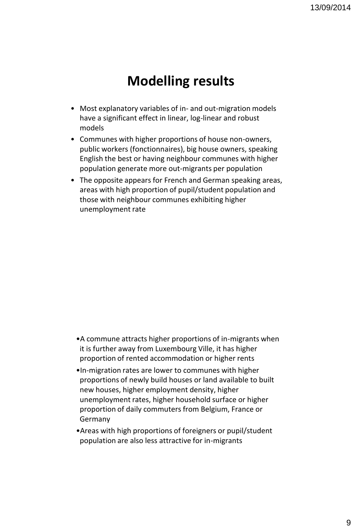## **Modelling results**

- Most explanatory variables of in- and out-migration models have a significant effect in linear, log-linear and robust models
- Communes with higher proportions of house non-owners, public workers (fonctionnaires), big house owners, speaking English the best or having neighbour communes with higher population generate more out-migrants per population
- The opposite appears for French and German speaking areas, areas with high proportion of pupil/student population and those with neighbour communes exhibiting higher unemployment rate

- •A commune attracts higher proportions of in-migrants when it is further away from Luxembourg Ville, it has higher proportion of rented accommodation or higher rents
- •In-migration rates are lower to communes with higher proportions of newly build houses or land available to built new houses, higher employment density, higher unemployment rates, higher household surface or higher proportion of daily commuters from Belgium, France or Germany
- •Areas with high proportions of foreigners or pupil/student population are also less attractive for in-migrants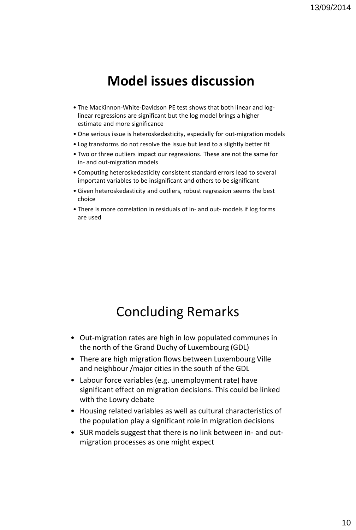### **Model issues discussion**

- The MacKinnon-White-Davidson PE test shows that both linear and loglinear regressions are significant but the log model brings a higher estimate and more significance
- One serious issue is heteroskedasticity, especially for out-migration models
- Log transforms do not resolve the issue but lead to a slightly better fit
- Two or three outliers impact our regressions. These are not the same for in- and out-migration models
- Computing heteroskedasticity consistent standard errors lead to several important variables to be insignificant and others to be significant
- Given heteroskedasticity and outliers, robust regression seems the best choice
- There is more correlation in residuals of in- and out- models if log forms are used

#### Concluding Remarks

- Out-migration rates are high in low populated communes in the north of the Grand Duchy of Luxembourg (GDL)
- There are high migration flows between Luxembourg Ville and neighbour /major cities in the south of the GDL
- Labour force variables (e.g. unemployment rate) have significant effect on migration decisions. This could be linked with the Lowry debate
- Housing related variables as well as cultural characteristics of the population play a significant role in migration decisions
- SUR models suggest that there is no link between in- and outmigration processes as one might expect